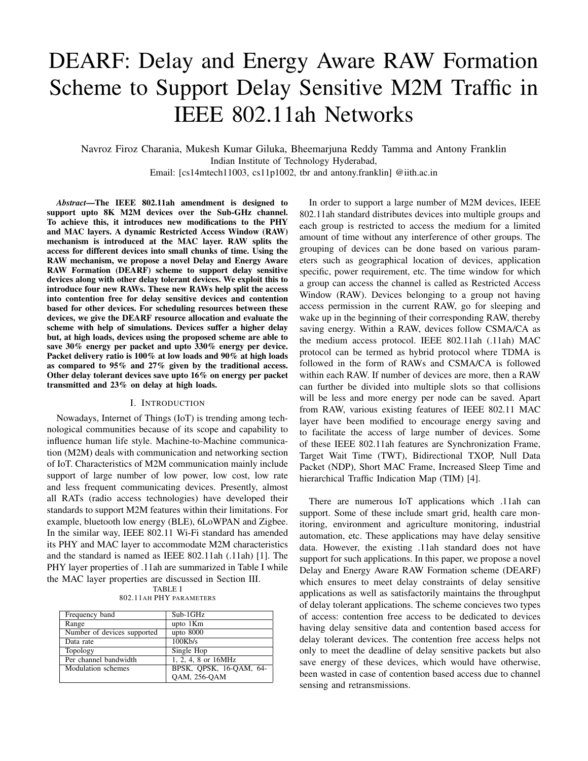# DEARF: Delay and Energy Aware RAW Formation Scheme to Support Delay Sensitive M2M Traffic in IEEE 802.11ah Networks

Navroz Firoz Charania, Mukesh Kumar Giluka, Bheemarjuna Reddy Tamma and Antony Franklin Indian Institute of Technology Hyderabad, Email: [cs14mtech11003, cs11p1002, tbr and antony.franklin] @iith.ac.in

*Abstract*—The IEEE 802.11ah amendment is designed to support upto 8K M2M devices over the Sub-GHz channel. To achieve this, it introduces new modifications to the PHY and MAC layers. A dynamic Restricted Access Window (RAW) mechanism is introduced at the MAC layer. RAW splits the access for different devices into small chunks of time. Using the RAW mechanism, we propose a novel Delay and Energy Aware RAW Formation (DEARF) scheme to support delay sensitive devices along with other delay tolerant devices. We exploit this to introduce four new RAWs. These new RAWs help split the access into contention free for delay sensitive devices and contention based for other devices. For scheduling resources between these devices, we give the DEARF resource allocation and evaluate the scheme with help of simulations. Devices suffer a higher delay but, at high loads, devices using the proposed scheme are able to save 30% energy per packet and upto 330% energy per device. Packet delivery ratio is 100% at low loads and 90% at high loads as compared to 95% and 27% given by the traditional access. Other delay tolerant devices save upto 16% on energy per packet transmitted and 23% on delay at high loads.

## I. INTRODUCTION

Nowadays, Internet of Things (IoT) is trending among technological communities because of its scope and capability to influence human life style. Machine-to-Machine communication (M2M) deals with communication and networking section of IoT. Characteristics of M2M communication mainly include support of large number of low power, low cost, low rate and less frequent communicating devices. Presently, almost all RATs (radio access technologies) have developed their standards to support M2M features within their limitations. For example, bluetooth low energy (BLE), 6LoWPAN and Zigbee. In the similar way, IEEE 802.11 Wi-Fi standard has amended its PHY and MAC layer to accommodate M2M characteristics and the standard is named as IEEE 802.11ah (.11ah) [1]. The PHY layer properties of .11ah are summarized in Table I while the MAC layer properties are discussed in Section III.

TABLE I 802.11AH PHY PARAMETERS

| Frequency band              | Sub-1GHz                |
|-----------------------------|-------------------------|
| Range                       | upto 1Km                |
| Number of devices supported | upto 8000               |
| Data rate                   | 100Kb/s                 |
| Topology                    | Single Hop              |
| Per channel bandwidth       | 1, 2, 4, 8 or $16MHz$   |
| Modulation schemes          | BPSK, OPSK, 16-QAM, 64- |
|                             | QAM, 256-QAM            |

In order to support a large number of M2M devices, IEEE 802.11ah standard distributes devices into multiple groups and each group is restricted to access the medium for a limited amount of time without any interference of other groups. The grouping of devices can be done based on various parameters such as geographical location of devices, application specific, power requirement, etc. The time window for which a group can access the channel is called as Restricted Access Window (RAW). Devices belonging to a group not having access permission in the current RAW, go for sleeping and wake up in the beginning of their corresponding RAW, thereby saving energy. Within a RAW, devices follow CSMA/CA as the medium access protocol. IEEE 802.11ah (.11ah) MAC protocol can be termed as hybrid protocol where TDMA is followed in the form of RAWs and CSMA/CA is followed within each RAW. If number of devices are more, then a RAW can further be divided into multiple slots so that collisions will be less and more energy per node can be saved. Apart from RAW, various existing features of IEEE 802.11 MAC layer have been modified to encourage energy saving and to facilitate the access of large number of devices. Some of these IEEE 802.11ah features are Synchronization Frame, Target Wait Time (TWT), Bidirectional TXOP, Null Data Packet (NDP), Short MAC Frame, Increased Sleep Time and hierarchical Traffic Indication Map (TIM) [4].

There are numerous IoT applications which .11ah can support. Some of these include smart grid, health care monitoring, environment and agriculture monitoring, industrial automation, etc. These applications may have delay sensitive data. However, the existing .11ah standard does not have support for such applications. In this paper, we propose a novel Delay and Energy Aware RAW Formation scheme (DEARF) which ensures to meet delay constraints of delay sensitive applications as well as satisfactorily maintains the throughput of delay tolerant applications. The scheme concieves two types of access: contention free access to be dedicated to devices having delay sensitive data and contention based access for delay tolerant devices. The contention free access helps not only to meet the deadline of delay sensitive packets but also save energy of these devices, which would have otherwise, been wasted in case of contention based access due to channel sensing and retransmissions.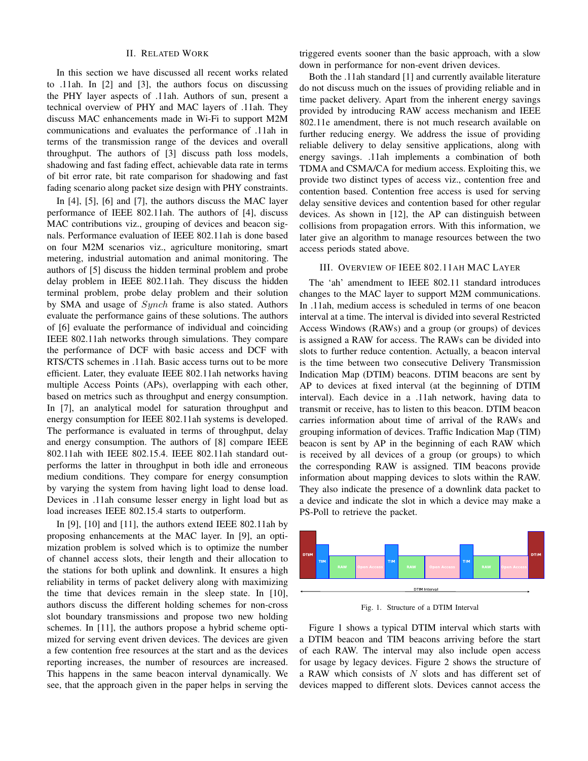# II. RELATED WORK

In this section we have discussed all recent works related to .11ah. In [2] and [3], the authors focus on discussing the PHY layer aspects of .11ah. Authors of sun, present a technical overview of PHY and MAC layers of .11ah. They discuss MAC enhancements made in Wi-Fi to support M2M communications and evaluates the performance of .11ah in terms of the transmission range of the devices and overall throughput. The authors of [3] discuss path loss models, shadowing and fast fading effect, achievable data rate in terms of bit error rate, bit rate comparison for shadowing and fast fading scenario along packet size design with PHY constraints.

In [4], [5], [6] and [7], the authors discuss the MAC layer performance of IEEE 802.11ah. The authors of [4], discuss MAC contributions viz., grouping of devices and beacon signals. Performance evaluation of IEEE 802.11ah is done based on four M2M scenarios viz., agriculture monitoring, smart metering, industrial automation and animal monitoring. The authors of [5] discuss the hidden terminal problem and probe delay problem in IEEE 802.11ah. They discuss the hidden terminal problem, probe delay problem and their solution by SMA and usage of *Synch* frame is also stated. Authors evaluate the performance gains of these solutions. The authors of [6] evaluate the performance of individual and coinciding IEEE 802.11ah networks through simulations. They compare the performance of DCF with basic access and DCF with RTS/CTS schemes in .11ah. Basic access turns out to be more efficient. Later, they evaluate IEEE 802.11ah networks having multiple Access Points (APs), overlapping with each other, based on metrics such as throughput and energy consumption. In [7], an analytical model for saturation throughput and energy consumption for IEEE 802.11ah systems is developed. The performance is evaluated in terms of throughput, delay and energy consumption. The authors of [8] compare IEEE 802.11ah with IEEE 802.15.4. IEEE 802.11ah standard outperforms the latter in throughput in both idle and erroneous medium conditions. They compare for energy consumption by varying the system from having light load to dense load. Devices in .11ah consume lesser energy in light load but as load increases IEEE 802.15.4 starts to outperform.

In [9], [10] and [11], the authors extend IEEE 802.11ah by proposing enhancements at the MAC layer. In [9], an optimization problem is solved which is to optimize the number of channel access slots, their length and their allocation to the stations for both uplink and downlink. It ensures a high reliability in terms of packet delivery along with maximizing the time that devices remain in the sleep state. In [10], authors discuss the different holding schemes for non-cross slot boundary transmissions and propose two new holding schemes. In [11], the authors propose a hybrid scheme optimized for serving event driven devices. The devices are given a few contention free resources at the start and as the devices reporting increases, the number of resources are increased. This happens in the same beacon interval dynamically. We see, that the approach given in the paper helps in serving the triggered events sooner than the basic approach, with a slow down in performance for non-event driven devices.

Both the .11ah standard [1] and currently available literature do not discuss much on the issues of providing reliable and in time packet delivery. Apart from the inherent energy savings provided by introducing RAW access mechanism and IEEE 802.11e amendment, there is not much research available on further reducing energy. We address the issue of providing reliable delivery to delay sensitive applications, along with energy savings. .11ah implements a combination of both TDMA and CSMA/CA for medium access. Exploiting this, we provide two distinct types of access viz., contention free and contention based. Contention free access is used for serving delay sensitive devices and contention based for other regular devices. As shown in [12], the AP can distinguish between collisions from propagation errors. With this information, we later give an algorithm to manage resources between the two access periods stated above.

### III. OVERVIEW OF IEEE 802.11AH MAC LAYER

The 'ah' amendment to IEEE 802.11 standard introduces changes to the MAC layer to support M2M communications. In .11ah, medium access is scheduled in terms of one beacon interval at a time. The interval is divided into several Restricted Access Windows (RAWs) and a group (or groups) of devices is assigned a RAW for access. The RAWs can be divided into slots to further reduce contention. Actually, a beacon interval is the time between two consecutive Delivery Transmission Indication Map (DTIM) beacons. DTIM beacons are sent by AP to devices at fixed interval (at the beginning of DTIM interval). Each device in a .11ah network, having data to transmit or receive, has to listen to this beacon. DTIM beacon carries information about time of arrival of the RAWs and grouping information of devices. Traffic Indication Map (TIM) beacon is sent by AP in the beginning of each RAW which is received by all devices of a group (or groups) to which the corresponding RAW is assigned. TIM beacons provide information about mapping devices to slots within the RAW. They also indicate the presence of a downlink data packet to a device and indicate the slot in which a device may make a PS-Poll to retrieve the packet.



Fig. 1. Structure of a DTIM Interval

Figure 1 shows a typical DTIM interval which starts with a DTIM beacon and TIM beacons arriving before the start of each RAW. The interval may also include open access for usage by legacy devices. Figure 2 shows the structure of a RAW which consists of  $N$  slots and has different set of devices mapped to different slots. Devices cannot access the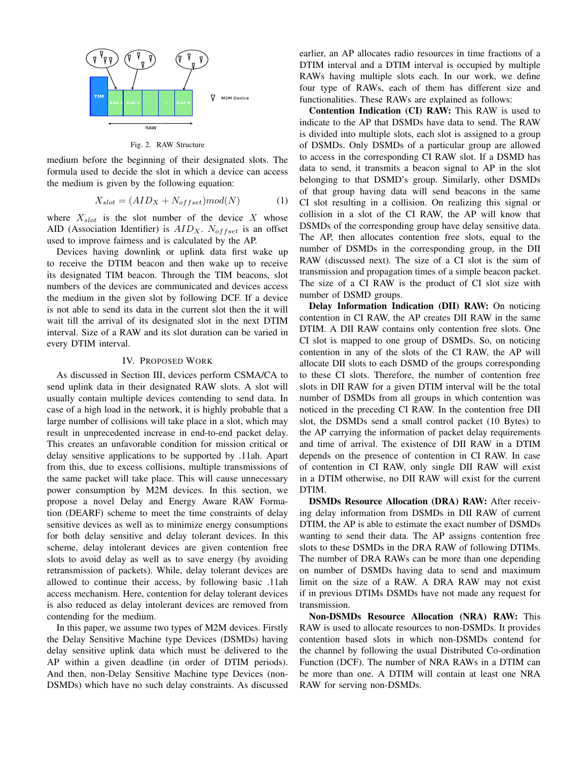

Fig. 2. RAW Structure

medium before the beginning of their designated slots. The formula used to decide the slot in which a device can access the medium is given by the following equation:

$$
X_{slot} = (AID_X + N_{offset}) \text{mod}(N) \tag{1}
$$

where  $X_{slot}$  is the slot number of the device X whose AID (Association Identifier) is  $AID<sub>X</sub>$ .  $N<sub>offset</sub>$  is an offset used to improve fairness and is calculated by the AP.

Devices having downlink or uplink data first wake up to receive the DTIM beacon and then wake up to receive its designated TIM beacon. Through the TIM beacons, slot numbers of the devices are communicated and devices access the medium in the given slot by following DCF. If a device is not able to send its data in the current slot then the it will wait till the arrival of its designated slot in the next DTIM interval. Size of a RAW and its slot duration can be varied in every DTIM interval.

# IV. PROPOSED WORK

As discussed in Section III, devices perform CSMA/CA to send uplink data in their designated RAW slots. A slot will usually contain multiple devices contending to send data. In case of a high load in the network, it is highly probable that a large number of collisions will take place in a slot, which may result in unprecedented increase in end-to-end packet delay. This creates an unfavorable condition for mission critical or delay sensitive applications to be supported by .11ah. Apart from this, due to excess collisions, multiple transmissions of the same packet will take place. This will cause unnecessary power consumption by M2M devices. In this section, we propose a novel Delay and Energy Aware RAW Formation (DEARF) scheme to meet the time constraints of delay sensitive devices as well as to minimize energy consumptions for both delay sensitive and delay tolerant devices. In this scheme, delay intolerant devices are given contention free slots to avoid delay as well as to save energy (by avoiding retransmission of packets). While, delay tolerant devices are allowed to continue their access, by following basic .11ah access mechanism. Here, contention for delay tolerant devices is also reduced as delay intolerant devices are removed from contending for the medium.

In this paper, we assume two types of M2M devices. Firstly the Delay Sensitive Machine type Devices (DSMDs) having delay sensitive uplink data which must be delivered to the AP within a given deadline (in order of DTIM periods). And then, non-Delay Sensitive Machine type Devices (non-DSMDs) which have no such delay constraints. As discussed earlier, an AP allocates radio resources in time fractions of a DTIM interval and a DTIM interval is occupied by multiple RAWs having multiple slots each. In our work, we define four type of RAWs, each of them has different size and functionalities. These RAWs are explained as follows:

Contention Indication (CI) RAW: This RAW is used to indicate to the AP that DSMDs have data to send. The RAW is divided into multiple slots, each slot is assigned to a group of DSMDs. Only DSMDs of a particular group are allowed to access in the corresponding CI RAW slot. If a DSMD has data to send, it transmits a beacon signal to AP in the slot belonging to that DSMD's group. Similarly, other DSMDs of that group having data will send beacons in the same CI slot resulting in a collision. On realizing this signal or collision in a slot of the CI RAW, the AP will know that DSMDs of the corresponding group have delay sensitive data. The AP, then allocates contention free slots, equal to the number of DSMDs in the corresponding group, in the DII RAW (discussed next). The size of a CI slot is the sum of transmission and propagation times of a simple beacon packet. The size of a CI RAW is the product of CI slot size with number of DSMD groups.

Delay Information Indication (DII) RAW: On noticing contention in CI RAW, the AP creates DII RAW in the same DTIM. A DII RAW contains only contention free slots. One CI slot is mapped to one group of DSMDs. So, on noticing contention in any of the slots of the CI RAW, the AP will allocate DII slots to each DSMD of the groups corresponding to these CI slots. Therefore, the number of contention free slots in DII RAW for a given DTIM interval will be the total number of DSMDs from all groups in which contention was noticed in the preceding CI RAW. In the contention free DII slot, the DSMDs send a small control packet (10 Bytes) to the AP carrying the information of packet delay requirements and time of arrival. The existence of DII RAW in a DTIM depends on the presence of contention in CI RAW. In case of contention in CI RAW, only single DII RAW will exist in a DTIM otherwise, no DII RAW will exist for the current DTIM.

DSMDs Resource Allocation (DRA) RAW: After receiving delay information from DSMDs in DII RAW of current DTIM, the AP is able to estimate the exact number of DSMDs wanting to send their data. The AP assigns contention free slots to these DSMDs in the DRA RAW of following DTIMs. The number of DRA RAWs can be more than one depending on number of DSMDs having data to send and maximum limit on the size of a RAW. A DRA RAW may not exist if in previous DTIMs DSMDs have not made any request for transmission.

Non-DSMDs Resource Allocation (NRA) RAW: This RAW is used to allocate resources to non-DSMDs. It provides contention based slots in which non-DSMDs contend for the channel by following the usual Distributed Co-ordination Function (DCF). The number of NRA RAWs in a DTIM can be more than one. A DTIM will contain at least one NRA RAW for serving non-DSMDs.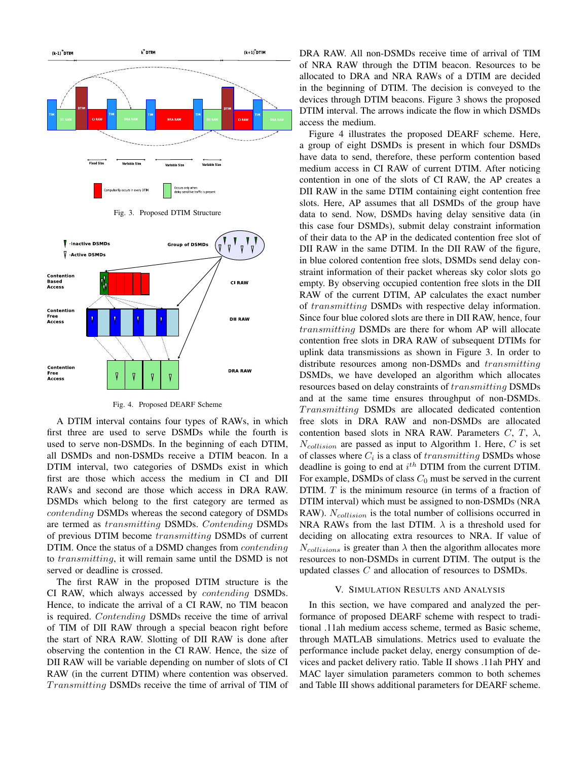

Fig. 4. Proposed DEARF Scheme

A DTIM interval contains four types of RAWs, in which first three are used to serve DSMDs while the fourth is used to serve non-DSMDs. In the beginning of each DTIM, all DSMDs and non-DSMDs receive a DTIM beacon. In a DTIM interval, two categories of DSMDs exist in which first are those which access the medium in CI and DII RAWs and second are those which access in DRA RAW. DSMDs which belong to the first category are termed as contending DSMDs whereas the second category of DSMDs are termed as transmitting DSMDs. Contending DSMDs of previous DTIM become transmitting DSMDs of current DTIM. Once the status of a DSMD changes from *contending* to transmitting, it will remain same until the DSMD is not served or deadline is crossed.

The first RAW in the proposed DTIM structure is the CI RAW, which always accessed by contending DSMDs. Hence, to indicate the arrival of a CI RAW, no TIM beacon is required. Contending DSMDs receive the time of arrival of TIM of DII RAW through a special beacon right before the start of NRA RAW. Slotting of DII RAW is done after observing the contention in the CI RAW. Hence, the size of DII RAW will be variable depending on number of slots of CI RAW (in the current DTIM) where contention was observed. Transmitting DSMDs receive the time of arrival of TIM of

DRA RAW. All non-DSMDs receive time of arrival of TIM of NRA RAW through the DTIM beacon. Resources to be allocated to DRA and NRA RAWs of a DTIM are decided in the beginning of DTIM. The decision is conveyed to the devices through DTIM beacons. Figure 3 shows the proposed DTIM interval. The arrows indicate the flow in which DSMDs access the medium.

Figure 4 illustrates the proposed DEARF scheme. Here, a group of eight DSMDs is present in which four DSMDs have data to send, therefore, these perform contention based medium access in CI RAW of current DTIM. After noticing contention in one of the slots of CI RAW, the AP creates a DII RAW in the same DTIM containing eight contention free slots. Here, AP assumes that all DSMDs of the group have data to send. Now, DSMDs having delay sensitive data (in this case four DSMDs), submit delay constraint information of their data to the AP in the dedicated contention free slot of DII RAW in the same DTIM. In the DII RAW of the figure, in blue colored contention free slots, DSMDs send delay constraint information of their packet whereas sky color slots go empty. By observing occupied contention free slots in the DII RAW of the current DTIM, AP calculates the exact number of transmitting DSMDs with respective delay information. Since four blue colored slots are there in DII RAW, hence, four transmitting DSMDs are there for whom AP will allocate contention free slots in DRA RAW of subsequent DTIMs for uplink data transmissions as shown in Figure 3. In order to distribute resources among non-DSMDs and transmitting DSMDs, we have developed an algorithm which allocates resources based on delay constraints of transmitting DSMDs and at the same time ensures throughput of non-DSMDs. Transmitting DSMDs are allocated dedicated contention free slots in DRA RAW and non-DSMDs are allocated contention based slots in NRA RAW. Parameters  $C, T, \lambda$ ,  $N_{collision}$  are passed as input to Algorithm 1. Here,  $C$  is set of classes where  $C_i$  is a class of  $transmitting$  DSMDs whose deadline is going to end at  $i^{th}$  DTIM from the current DTIM. For example, DSMDs of class  $C_0$  must be served in the current DTIM. T is the minimum resource (in terms of a fraction of DTIM interval) which must be assigned to non-DSMDs (NRA RAW).  $N_{collision}$  is the total number of collisions occurred in NRA RAWs from the last DTIM.  $\lambda$  is a threshold used for deciding on allocating extra resources to NRA. If value of  $N_{collisions}$  is greater than  $\lambda$  then the algorithm allocates more resources to non-DSMDs in current DTIM. The output is the updated classes  $C$  and allocation of resources to DSMDs.

#### V. SIMULATION RESULTS AND ANALYSIS

In this section, we have compared and analyzed the performance of proposed DEARF scheme with respect to traditional .11ah medium access scheme, termed as Basic scheme, through MATLAB simulations. Metrics used to evaluate the performance include packet delay, energy consumption of devices and packet delivery ratio. Table II shows .11ah PHY and MAC layer simulation parameters common to both schemes and Table III shows additional parameters for DEARF scheme.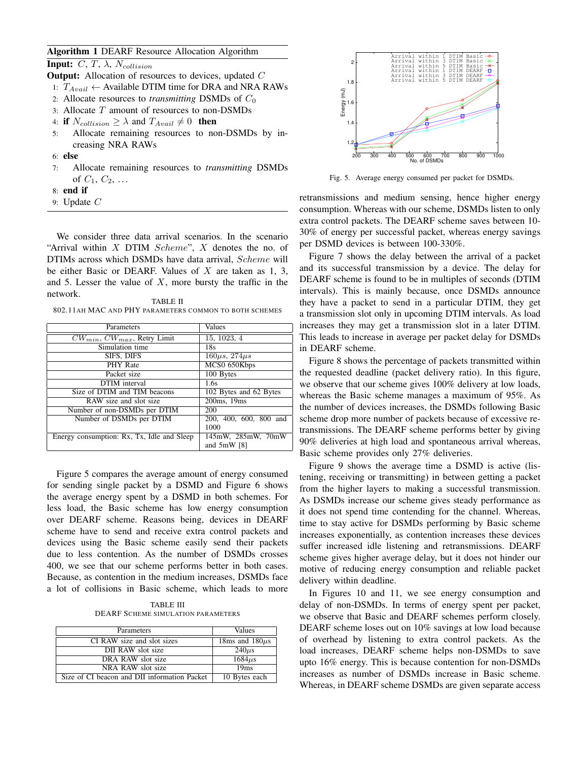# Algorithm 1 DEARF Resource Allocation Algorithm

**Input:** C, T,  $\lambda$ , N<sub>collision</sub>

- **Output:** Allocation of resources to devices, updated  $C$
- 1:  $T_{Avail}$  ← Available DTIM time for DRA and NRA RAWs
- 2: Allocate resources to *transmitting* DSMDs of  $C_0$
- 3: Allocate T amount of resources to non-DSMDs
- 4: if  $N_{collision} \geq \lambda$  and  $T_{Available} \neq 0$  then
- 5: Allocate remaining resources to non-DSMDs by increasing NRA RAWs
- 6: else
- 7: Allocate remaining resources to *transmitting* DSMDs of  $C_1, C_2, ...$
- 8: end if
- 9: Update  $C$

We consider three data arrival scenarios. In the scenario "Arrival within  $X$  DTIM Scheme",  $X$  denotes the no. of DTIMs across which DSMDs have data arrival, Scheme will be either Basic or DEARF. Values of  $X$  are taken as 1, 3, and 5. Lesser the value of  $X$ , more bursty the traffic in the network.

TABLE II 802.11AH MAC AND PHY PARAMETERS COMMON TO BOTH SCHEMES

| Parameters                                 | Values                 |
|--------------------------------------------|------------------------|
| $CW_{min}$ , $CW_{max}$ , Retry Limit      | 15, 1023, 4            |
| Simulation time                            | 18s                    |
| SIFS, DIFS                                 | $160\mu s, 274\mu s$   |
| PHY Rate                                   | MCS0 650Kbps           |
| Packet size                                | 100 Bytes              |
| <b>DTIM</b> interval                       | 1.6s                   |
| Size of DTIM and TIM beacons               | 102 Bytes and 62 Bytes |
| RAW size and slot size                     | 200ms, 19ms            |
| Number of non-DSMDs per DTIM               | 200                    |
| Number of DSMDs per DTIM                   | 200, 400, 600, 800 and |
|                                            | 1000                   |
| Energy consumption: Rx, Tx, Idle and Sleep | 145mW, 285mW, 70mW     |
|                                            | and $5mW$ [8]          |

Figure 5 compares the average amount of energy consumed for sending single packet by a DSMD and Figure 6 shows the average energy spent by a DSMD in both schemes. For less load, the Basic scheme has low energy consumption over DEARF scheme. Reasons being, devices in DEARF scheme have to send and receive extra control packets and devices using the Basic scheme easily send their packets due to less contention. As the number of DSMDs crosses 400, we see that our scheme performs better in both cases. Because, as contention in the medium increases, DSMDs face a lot of collisions in Basic scheme, which leads to more

TABLE III DEARF SCHEME SIMULATION PARAMETERS

| Parameters                                   | Values              |
|----------------------------------------------|---------------------|
| CI RAW size and slot sizes                   | 18ms and $180\mu s$ |
| DII RAW slot size                            | $240\mu s$          |
| DRA RAW slot size                            | $1684\mu s$         |
| NRA RAW slot size                            | 19ms                |
| Size of CI beacon and DII information Packet | 10 Bytes each       |



Fig. 5. Average energy consumed per packet for DSMDs.

retransmissions and medium sensing, hence higher energy consumption. Whereas with our scheme, DSMDs listen to only extra control packets. The DEARF scheme saves between 10- 30% of energy per successful packet, whereas energy savings per DSMD devices is between 100-330%.

Figure 7 shows the delay between the arrival of a packet and its successful transmission by a device. The delay for DEARF scheme is found to be in multiples of seconds (DTIM intervals). This is mainly because, once DSMDs announce they have a packet to send in a particular DTIM, they get a transmission slot only in upcoming DTIM intervals. As load increases they may get a transmission slot in a later DTIM. This leads to increase in average per packet delay for DSMDs in DEARF scheme.

Figure 8 shows the percentage of packets transmitted within the requested deadline (packet delivery ratio). In this figure, we observe that our scheme gives 100% delivery at low loads, whereas the Basic scheme manages a maximum of 95%. As the number of devices increases, the DSMDs following Basic scheme drop more number of packets because of excessive retransmissions. The DEARF scheme performs better by giving 90% deliveries at high load and spontaneous arrival whereas, Basic scheme provides only 27% deliveries.

Figure 9 shows the average time a DSMD is active (listening, receiving or transmitting) in between getting a packet from the higher layers to making a successful transmission. As DSMDs increase our scheme gives steady performance as it does not spend time contending for the channel. Whereas, time to stay active for DSMDs performing by Basic scheme increases exponentially, as contention increases these devices suffer increased idle listening and retransmissions. DEARF scheme gives higher average delay, but it does not hinder our motive of reducing energy consumption and reliable packet delivery within deadline.

In Figures 10 and 11, we see energy consumption and delay of non-DSMDs. In terms of energy spent per packet, we observe that Basic and DEARF schemes perform closely. DEARF scheme loses out on 10% savings at low load because of overhead by listening to extra control packets. As the load increases, DEARF scheme helps non-DSMDs to save upto 16% energy. This is because contention for non-DSMDs increases as number of DSMDs increase in Basic scheme. Whereas, in DEARF scheme DSMDs are given separate access